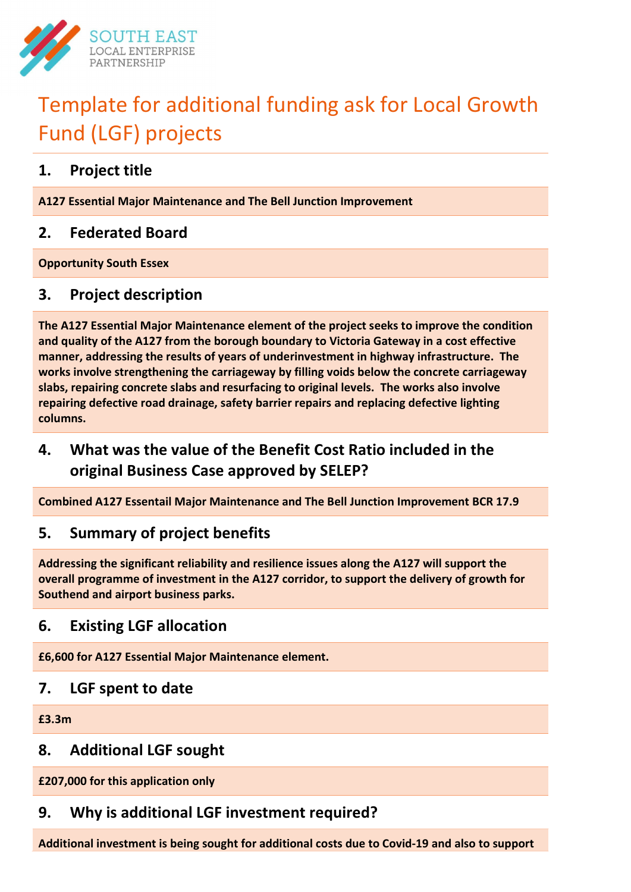

# Template for additional funding ask for Local Growth Fund (LGF) projects

## 1. Project title

A127 Essential Major Maintenance and The Bell Junction Improvement

## 2. Federated Board

Opportunity South Essex

## 3. Project description

The A127 Essential Major Maintenance element of the project seeks to improve the condition and quality of the A127 from the borough boundary to Victoria Gateway in a cost effective manner, addressing the results of years of underinvestment in highway infrastructure. The works involve strengthening the carriageway by filling voids below the concrete carriageway slabs, repairing concrete slabs and resurfacing to original levels. The works also involve repairing defective road drainage, safety barrier repairs and replacing defective lighting columns.

## 4. What was the value of the Benefit Cost Ratio included in the original Business Case approved by SELEP?

Combined A127 Essentail Major Maintenance and The Bell Junction Improvement BCR 17.9

## 5. Summary of project benefits

Addressing the significant reliability and resilience issues along the A127 will support the overall programme of investment in the A127 corridor, to support the delivery of growth for Southend and airport business parks.

## 6. Existing LGF allocation

£6,600 for A127 Essential Major Maintenance element.

## 7. LGF spent to date

£3.3m

## 8. Additional LGF sought

£207,000 for this application only

## 9. Why is additional LGF investment required?

Additional investment is being sought for additional costs due to Covid-19 and also to support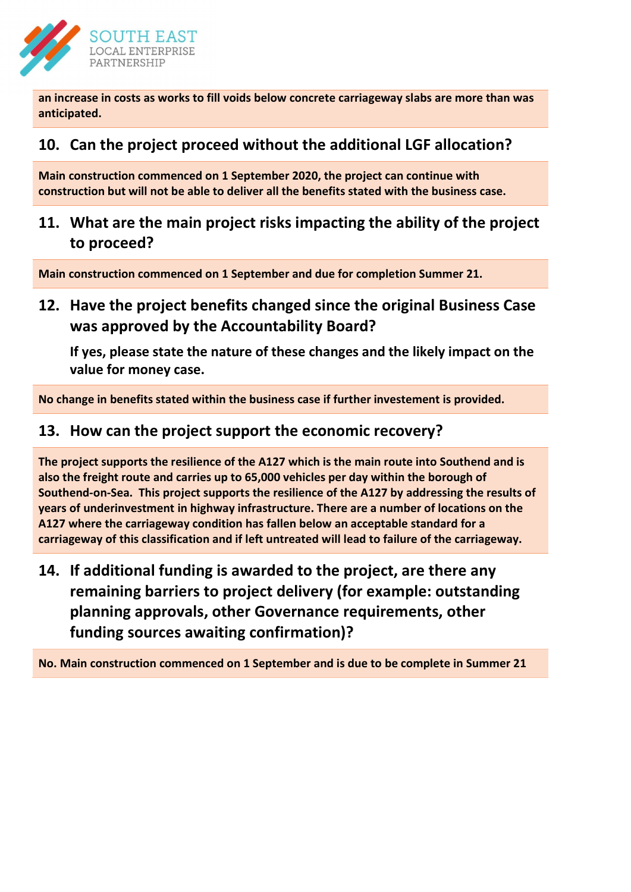

an increase in costs as works to fill voids below concrete carriageway slabs are more than was anticipated.

## 10. Can the project proceed without the additional LGF allocation?

Main construction commenced on 1 September 2020, the project can continue with construction but will not be able to deliver all the benefits stated with the business case.

11. What are the main project risks impacting the ability of the project to proceed?

Main construction commenced on 1 September and due for completion Summer 21.

12. Have the project benefits changed since the original Business Case was approved by the Accountability Board?

If yes, please state the nature of these changes and the likely impact on the value for money case.

No change in benefits stated within the business case if further investement is provided.

#### 13. How can the project support the economic recovery?

The project supports the resilience of the A127 which is the main route into Southend and is also the freight route and carries up to 65,000 vehicles per day within the borough of Southend-on-Sea. This project supports the resilience of the A127 by addressing the results of years of underinvestment in highway infrastructure. There are a number of locations on the A127 where the carriageway condition has fallen below an acceptable standard for a carriageway of this classification and if left untreated will lead to failure of the carriageway.

14. If additional funding is awarded to the project, are there any remaining barriers to project delivery (for example: outstanding planning approvals, other Governance requirements, other funding sources awaiting confirmation)?

No. Main construction commenced on 1 September and is due to be complete in Summer 21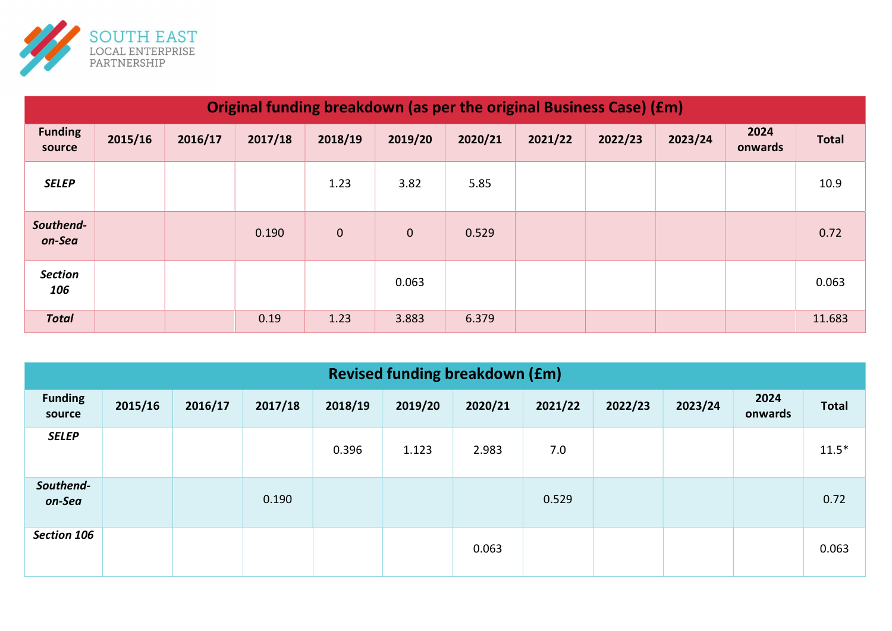

| Original funding breakdown (as per the original Business Case) (£m) |         |         |         |             |             |         |         |         |         |                 |              |
|---------------------------------------------------------------------|---------|---------|---------|-------------|-------------|---------|---------|---------|---------|-----------------|--------------|
| <b>Funding</b><br>source                                            | 2015/16 | 2016/17 | 2017/18 | 2018/19     | 2019/20     | 2020/21 | 2021/22 | 2022/23 | 2023/24 | 2024<br>onwards | <b>Total</b> |
| <b>SELEP</b>                                                        |         |         |         | 1.23        | 3.82        | 5.85    |         |         |         |                 | 10.9         |
| Southend-<br>on-Sea                                                 |         |         | 0.190   | $\mathbf 0$ | $\mathbf 0$ | 0.529   |         |         |         |                 | 0.72         |
| <b>Section</b><br>106                                               |         |         |         |             | 0.063       |         |         |         |         |                 | 0.063        |
| <b>Total</b>                                                        |         |         | 0.19    | 1.23        | 3.883       | 6.379   |         |         |         |                 | 11.683       |

| <b>Revised funding breakdown (£m)</b> |         |         |         |         |         |         |         |         |         |                 |              |
|---------------------------------------|---------|---------|---------|---------|---------|---------|---------|---------|---------|-----------------|--------------|
| <b>Funding</b><br>source              | 2015/16 | 2016/17 | 2017/18 | 2018/19 | 2019/20 | 2020/21 | 2021/22 | 2022/23 | 2023/24 | 2024<br>onwards | <b>Total</b> |
| <b>SELEP</b>                          |         |         |         | 0.396   | 1.123   | 2.983   | 7.0     |         |         |                 | $11.5*$      |
| Southend-<br>on-Sea                   |         |         | 0.190   |         |         |         | 0.529   |         |         |                 | 0.72         |
| Section 106                           |         |         |         |         |         | 0.063   |         |         |         |                 | 0.063        |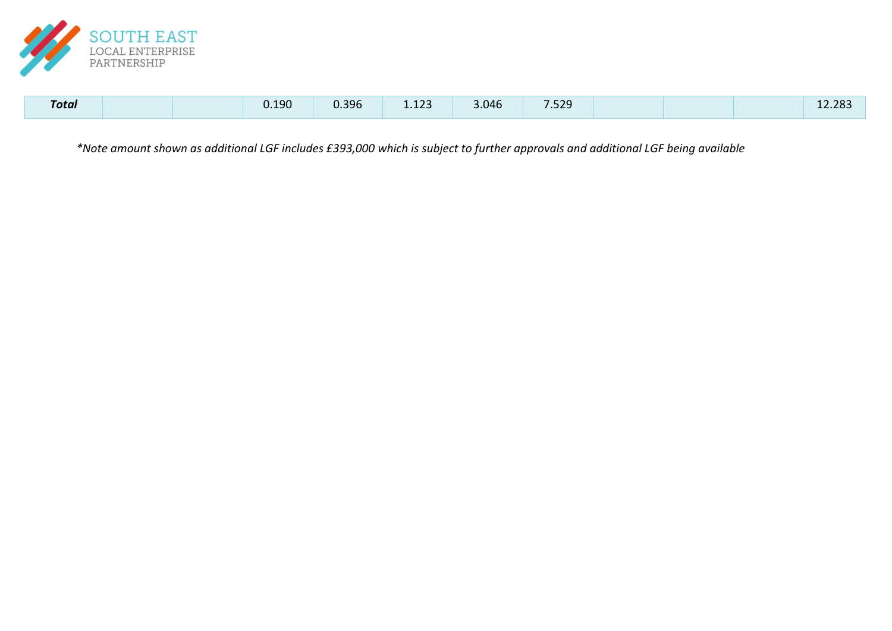

| <b>Total</b> |  |  | 0.190 | 0.396 | 122<br>1.123 | 3.046 | 7.529 |  |  |  | 12.283 |
|--------------|--|--|-------|-------|--------------|-------|-------|--|--|--|--------|
|--------------|--|--|-------|-------|--------------|-------|-------|--|--|--|--------|

\*Note amount shown as additional LGF includes £393,000 which is subject to further approvals and additional LGF being available